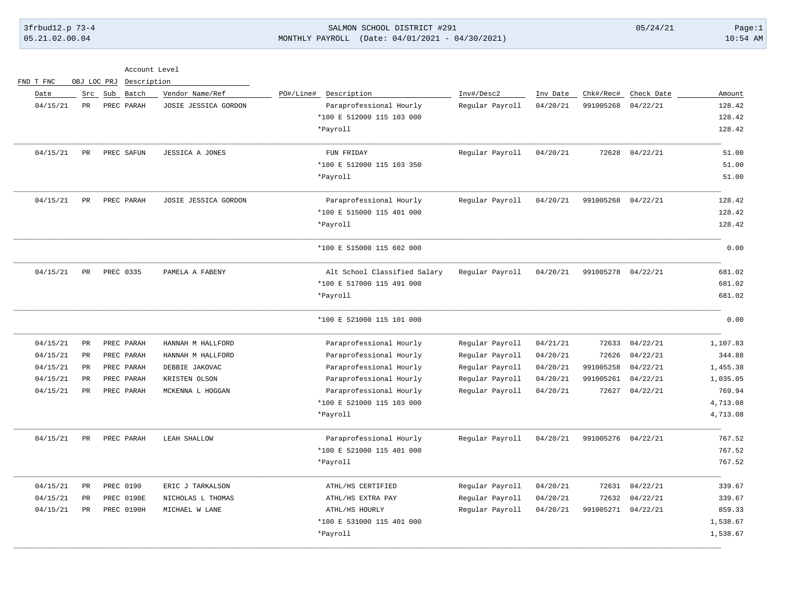### 3frbud12.p 73-4 SALMON SCHOOL DISTRICT #291 05/24/21 Page:1 05.21.02.00.04 MONTHLY PAYROLL (Date: 04/01/2021 - 04/30/2021) 10:54 AM

| Account Level |  |
|---------------|--|
|               |  |

|          |            |                    |          |                 | Description                  | OBJ LOC PRJ          | FND T FNC    |     |          |
|----------|------------|--------------------|----------|-----------------|------------------------------|----------------------|--------------|-----|----------|
| Amount   | Check Date | Chk#/Rec#          | Inv Date | Inv#/Desc2      | Description<br>PO#/Line#     | Vendor Name/Ref      | Sub<br>Batch | Src | Date     |
| 128.42   | 04/22/21   | 991005268          | 04/20/21 | Regular Payroll | Paraprofessional Hourly      | JOSIE JESSICA GORDON | PREC PARAH   | PR  | 04/15/21 |
| 128.42   |            |                    |          |                 | *100 E 512000 115 103 000    |                      |              |     |          |
| 128.42   |            |                    |          |                 | *Payroll                     |                      |              |     |          |
| 51.00    | 04/22/21   | 72628              | 04/20/21 | Regular Payroll | FUN FRIDAY                   | JESSICA A JONES      | PREC SAFUN   | PR  | 04/15/21 |
| 51.00    |            |                    |          |                 | *100 E 512000 115 103 350    |                      |              |     |          |
| 51.00    |            |                    |          |                 | *Payroll                     |                      |              |     |          |
| 128.42   | 04/22/21   | 991005268          | 04/20/21 | Regular Payroll | Paraprofessional Hourly      | JOSIE JESSICA GORDON | PREC PARAH   | PR  | 04/15/21 |
| 128.42   |            |                    |          |                 | *100 E 515000 115 401 000    |                      |              |     |          |
| 128.42   |            |                    |          |                 | *Payroll                     |                      |              |     |          |
| 0.00     |            |                    |          |                 | *100 E 515000 115 602 000    |                      |              |     |          |
| 681.02   | 04/22/21   | 991005278          | 04/20/21 | Regular Payroll | Alt School Classified Salary | PAMELA A FABENY      | PREC 0335    | PR  | 04/15/21 |
| 681.02   |            |                    |          |                 | *100 E 517000 115 491 000    |                      |              |     |          |
| 681.02   |            |                    |          |                 | *Payroll                     |                      |              |     |          |
| 0.00     |            |                    |          |                 | *100 E 521000 115 101 000    |                      |              |     |          |
| 1,107.83 | 04/22/21   | 72633              | 04/21/21 | Regular Payroll | Paraprofessional Hourly      | HANNAH M HALLFORD    | PREC PARAH   | PR  | 04/15/21 |
| 344.88   | 04/22/21   | 72626              | 04/20/21 | Regular Payroll | Paraprofessional Hourly      | HANNAH M HALLFORD    | PREC PARAH   | PR  | 04/15/21 |
| 1,455.38 | 04/22/21   | 991005258          | 04/20/21 | Regular Payroll | Paraprofessional Hourly      | DEBBIE JAKOVAC       | PREC PARAH   | PR  | 04/15/21 |
| 1,035.05 | 04/22/21   | 991005261          | 04/20/21 | Regular Payroll | Paraprofessional Hourly      | KRISTEN OLSON        | PREC PARAH   | PR  | 04/15/21 |
| 769.94   | 04/22/21   | 72627              | 04/20/21 | Regular Payroll | Paraprofessional Hourly      | MCKENNA L HOGGAN     | PREC PARAH   | PR  | 04/15/21 |
| 4,713.08 |            |                    |          |                 | *100 E 521000 115 103 000    |                      |              |     |          |
| 4,713.08 |            |                    |          |                 | *Payroll                     |                      |              |     |          |
| 767.52   |            | 991005276 04/22/21 | 04/20/21 | Regular Payroll | Paraprofessional Hourly      | LEAH SHALLOW         | PREC PARAH   | PR  | 04/15/21 |
| 767.52   |            |                    |          |                 | *100 E 521000 115 401 000    |                      |              |     |          |
| 767.52   |            |                    |          |                 | *Payroll                     |                      |              |     |          |
| 339.67   | 04/22/21   | 72631              | 04/20/21 | Regular Payroll | ATHL/HS CERTIFIED            | ERIC J TARKALSON     | PREC 0190    | PR  | 04/15/21 |
| 339.67   | 04/22/21   | 72632              | 04/20/21 | Regular Payroll | ATHL/HS EXTRA PAY            | NICHOLAS L THOMAS    | PREC 0190E   | PR  | 04/15/21 |
| 859.33   | 04/22/21   | 991005271          | 04/20/21 | Regular Payroll | ATHL/HS HOURLY               | MICHAEL W LANE       | PREC 0190H   | PR  | 04/15/21 |
| 1,538.67 |            |                    |          |                 | *100 E 531000 115 401 000    |                      |              |     |          |
| 1,538.67 |            |                    |          |                 | *Payroll                     |                      |              |     |          |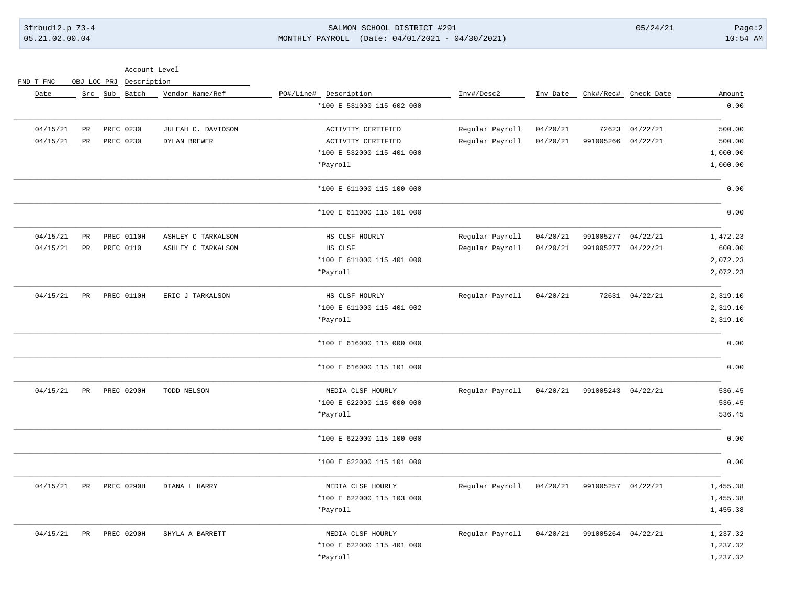## 3frbud12.p 73-4 SALMON SCHOOL DISTRICT #291 05/24/21 Page:2 05.21.02.00.04 MONTHLY PAYROLL (Date: 04/01/2021 - 04/30/2021) 10:54 AM

| Account Level<br>$\sim$<br>$\sim$<br>$-$ |  |
|------------------------------------------|--|
|------------------------------------------|--|

|  | FND T FNC |  | OBJ LOC PRJ Description |
|--|-----------|--|-------------------------|
|  |           |  |                         |

| Amount   | Chk#/Rec# Check Date |                    | Inv Date | Inv#/Desc2      | PO#/Line# Description     | Vendor Name/Ref    | Src Sub Batch |    | Date     |
|----------|----------------------|--------------------|----------|-----------------|---------------------------|--------------------|---------------|----|----------|
| 0.00     |                      |                    |          |                 | *100 E 531000 115 602 000 |                    |               |    |          |
| 500.00   | 04/22/21             | 72623              | 04/20/21 | Regular Payroll | ACTIVITY CERTIFIED        | JULEAH C. DAVIDSON | PREC 0230     | PR | 04/15/21 |
| 500.00   | 04/22/21             | 991005266          | 04/20/21 | Regular Payroll | ACTIVITY CERTIFIED        | DYLAN BREWER       | PREC 0230     | PR | 04/15/21 |
| 1,000.00 |                      |                    |          |                 | *100 E 532000 115 401 000 |                    |               |    |          |
| 1,000.00 |                      |                    |          |                 | *Payroll                  |                    |               |    |          |
| 0.00     |                      |                    |          |                 | *100 E 611000 115 100 000 |                    |               |    |          |
| 0.00     |                      |                    |          |                 | *100 E 611000 115 101 000 |                    |               |    |          |
| 1,472.23 |                      | 991005277 04/22/21 | 04/20/21 | Regular Payroll | HS CLSF HOURLY            | ASHLEY C TARKALSON | PREC 0110H    | PR | 04/15/21 |
| 600.00   |                      | 991005277 04/22/21 | 04/20/21 | Regular Payroll | HS CLSF                   | ASHLEY C TARKALSON | PREC 0110     | PR | 04/15/21 |
| 2,072.23 |                      |                    |          |                 | *100 E 611000 115 401 000 |                    |               |    |          |
| 2,072.23 |                      |                    |          |                 | *Payroll                  |                    |               |    |          |
| 2,319.10 | 72631 04/22/21       |                    | 04/20/21 | Regular Payroll | HS CLSF HOURLY            | ERIC J TARKALSON   | PREC 0110H    | PR | 04/15/21 |
| 2,319.10 |                      |                    |          |                 | *100 E 611000 115 401 002 |                    |               |    |          |
| 2,319.10 |                      |                    |          |                 | *Payroll                  |                    |               |    |          |
| 0.00     |                      |                    |          |                 | *100 E 616000 115 000 000 |                    |               |    |          |
| 0.00     |                      |                    |          |                 | *100 E 616000 115 101 000 |                    |               |    |          |
| 536.45   |                      | 991005243 04/22/21 | 04/20/21 | Regular Payroll | MEDIA CLSF HOURLY         | TODD NELSON        | PREC 0290H    | PR | 04/15/21 |
| 536.45   |                      |                    |          |                 | *100 E 622000 115 000 000 |                    |               |    |          |
| 536.45   |                      |                    |          |                 | *Payroll                  |                    |               |    |          |
| 0.00     |                      |                    |          |                 | *100 E 622000 115 100 000 |                    |               |    |          |
| 0.00     |                      |                    |          |                 | *100 E 622000 115 101 000 |                    |               |    |          |
| 1,455.38 |                      | 991005257 04/22/21 | 04/20/21 | Regular Payroll | MEDIA CLSF HOURLY         | DIANA L HARRY      | PREC 0290H    | PR | 04/15/21 |
| 1,455.38 |                      |                    |          |                 | *100 E 622000 115 103 000 |                    |               |    |          |
| 1,455.38 |                      |                    |          |                 | *Payroll                  |                    |               |    |          |
| 1,237.32 |                      | 991005264 04/22/21 | 04/20/21 | Regular Payroll | MEDIA CLSF HOURLY         | SHYLA A BARRETT    | PREC 0290H    | PR | 04/15/21 |
| 1,237.32 |                      |                    |          |                 | *100 E 622000 115 401 000 |                    |               |    |          |
| 1,237.32 |                      |                    |          |                 | *Payroll                  |                    |               |    |          |
|          |                      |                    |          |                 |                           |                    |               |    |          |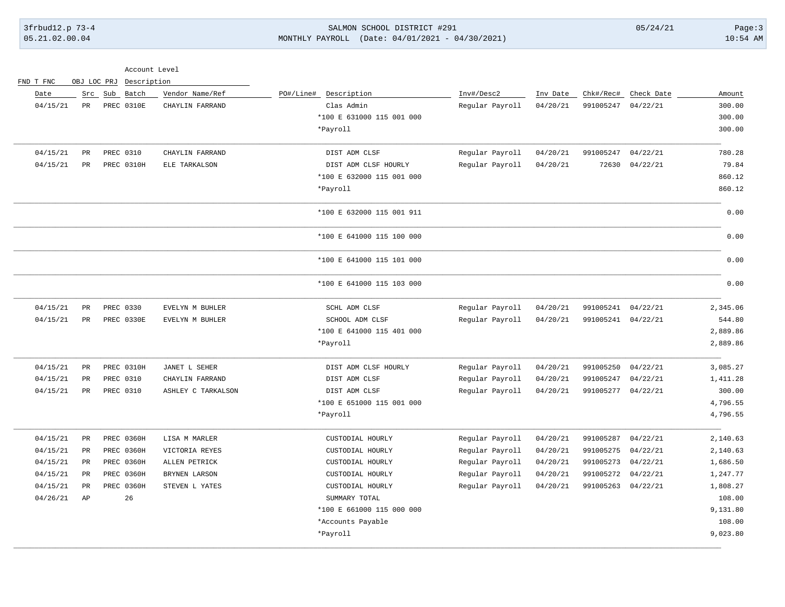FND T FNC OBJ LOC PRJ Description

### 3frbud12.p 73-4 SALMON SCHOOL DISTRICT #291 05/24/21 Page:3 05.21.02.00.04 MONTHLY PAYROLL (Date: 04/01/2021 - 04/30/2021) 10:54 AM

| Account Level |  |
|---------------|--|
|               |  |

| Amount   | Check Date | Chk#/Rec#          | Inv Date | Inv#/Desc2      | PO#/Line# Description     | Vendor Name/Ref    | Batch             | Sub | Src           | Date     |
|----------|------------|--------------------|----------|-----------------|---------------------------|--------------------|-------------------|-----|---------------|----------|
| 300.00   | 04/22/21   | 991005247          | 04/20/21 | Regular Payroll | Clas Admin                | CHAYLIN FARRAND    | PREC 0310E        |     | <b>PR</b>     | 04/15/21 |
| 300.00   |            |                    |          |                 | *100 E 631000 115 001 000 |                    |                   |     |               |          |
| 300.00   |            |                    |          |                 | *Payroll                  |                    |                   |     |               |          |
| 780.28   | 04/22/21   | 991005247          | 04/20/21 | Regular Payroll | DIST ADM CLSF             | CHAYLIN FARRAND    | PREC 0310         |     | $_{\rm PR}$   | 04/15/21 |
| 79.84    | 04/22/21   | 72630              | 04/20/21 | Regular Payroll | DIST ADM CLSF HOURLY      | ELE TARKALSON      | PREC 0310H        |     | $_{\rm PR}$   | 04/15/21 |
| 860.12   |            |                    |          |                 | *100 E 632000 115 001 000 |                    |                   |     |               |          |
| 860.12   |            |                    |          |                 | *Payroll                  |                    |                   |     |               |          |
| 0.00     |            |                    |          |                 | *100 E 632000 115 001 911 |                    |                   |     |               |          |
| 0.00     |            |                    |          |                 | *100 E 641000 115 100 000 |                    |                   |     |               |          |
| 0.00     |            |                    |          |                 | *100 E 641000 115 101 000 |                    |                   |     |               |          |
| 0.00     |            |                    |          |                 | *100 E 641000 115 103 000 |                    |                   |     |               |          |
| 2,345.06 | 04/22/21   | 991005241          | 04/20/21 | Regular Payroll | SCHL ADM CLSF             | EVELYN M BUHLER    | PREC 0330         |     | $\mathtt{PR}$ | 04/15/21 |
| 544.80   | 04/22/21   | 991005241          | 04/20/21 | Regular Payroll | SCHOOL ADM CLSF           | EVELYN M BUHLER    | PREC 0330E        |     | $_{\rm PR}$   | 04/15/21 |
| 2,889.86 |            |                    |          |                 | *100 E 641000 115 401 000 |                    |                   |     |               |          |
| 2,889.86 |            |                    |          |                 | *Payroll                  |                    |                   |     |               |          |
| 3,085.27 | 04/22/21   | 991005250          | 04/20/21 | Regular Payroll | DIST ADM CLSF HOURLY      | JANET L SEHER      | PREC 0310H        |     | PR            | 04/15/21 |
| 1,411.28 | 04/22/21   | 991005247          | 04/20/21 | Regular Payroll | DIST ADM CLSF             | CHAYLIN FARRAND    | PREC 0310         |     | PR            | 04/15/21 |
| 300.00   |            | 991005277 04/22/21 | 04/20/21 | Regular Payroll | DIST ADM CLSF             | ASHLEY C TARKALSON | PREC 0310         |     | $_{\rm PR}$   | 04/15/21 |
| 4,796.55 |            |                    |          |                 | *100 E 651000 115 001 000 |                    |                   |     |               |          |
| 4,796.55 |            |                    |          |                 | *Payroll                  |                    |                   |     |               |          |
| 2,140.63 | 04/22/21   | 991005287          | 04/20/21 | Regular Payroll | CUSTODIAL HOURLY          | LISA M MARLER      | <b>PREC 0360H</b> |     | PR            | 04/15/21 |
| 2,140.63 | 04/22/21   | 991005275          | 04/20/21 | Regular Payroll | CUSTODIAL HOURLY          | VICTORIA REYES     | <b>PREC 0360H</b> |     | PR            | 04/15/21 |
| 1,686.50 | 04/22/21   | 991005273          | 04/20/21 | Regular Payroll | CUSTODIAL HOURLY          | ALLEN PETRICK      | <b>PREC 0360H</b> |     | $_{\rm PR}$   | 04/15/21 |
| 1,247.77 | 04/22/21   | 991005272          | 04/20/21 | Regular Payroll | CUSTODIAL HOURLY          | BRYNEN LARSON      | PREC 0360H        |     | $_{\rm PR}$   | 04/15/21 |
| 1,808.27 | 04/22/21   | 991005263          | 04/20/21 | Regular Payroll | CUSTODIAL HOURLY          | STEVEN L YATES     | PREC 0360H        |     | PR            | 04/15/21 |
| 108.00   |            |                    |          |                 | SUMMARY TOTAL             |                    | 26                |     | ${\tt AP}$    | 04/26/21 |
| 9,131.80 |            |                    |          |                 | *100 E 661000 115 000 000 |                    |                   |     |               |          |
| 108.00   |            |                    |          |                 | *Accounts Payable         |                    |                   |     |               |          |
| 9,023.80 |            |                    |          |                 | *Payroll                  |                    |                   |     |               |          |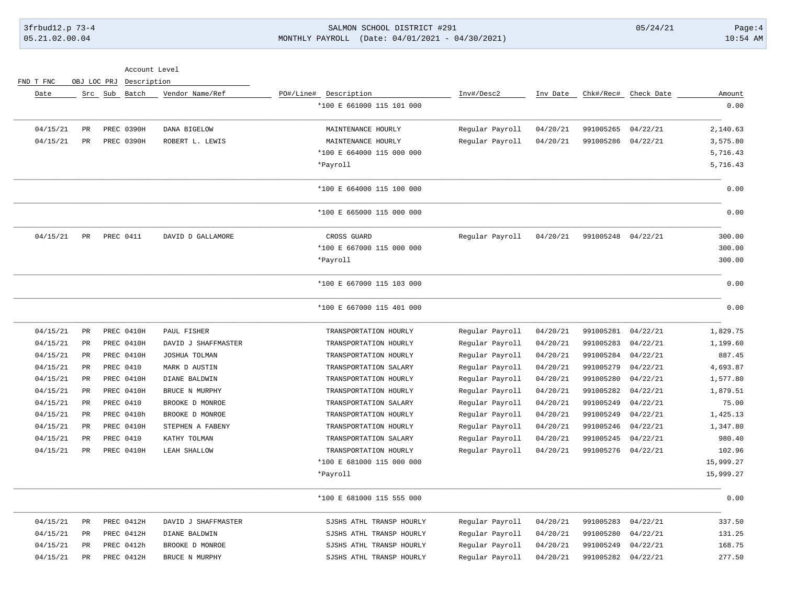### 3frbud12.p 73-4 SALMON SCHOOL DISTRICT #291 05/24/21 Page:4 05.21.02.00.04 MONTHLY PAYROLL (Date: 04/01/2021 - 04/30/2021) 10:54 AM

FND T FNC OBJ LOC PRJ Description

| Amount    | Chk#/Rec# Check Date |                    | Inv Date | Inv#/Desc2      | PO#/Line# Description     | Vendor Name/Ref     | Src Sub Batch |             | Date     |
|-----------|----------------------|--------------------|----------|-----------------|---------------------------|---------------------|---------------|-------------|----------|
| 0.00      |                      |                    |          |                 | *100 E 661000 115 101 000 |                     |               |             |          |
| 2,140.63  | 04/22/21             | 991005265          | 04/20/21 | Regular Payroll | MAINTENANCE HOURLY        | DANA BIGELOW        | PREC 0390H    | PR          | 04/15/21 |
| 3,575.80  | 04/22/21             | 991005286          | 04/20/21 | Regular Payroll | MAINTENANCE HOURLY        | ROBERT L. LEWIS     | PREC 0390H    | PR          | 04/15/21 |
| 5,716.43  |                      |                    |          |                 | *100 E 664000 115 000 000 |                     |               |             |          |
| 5,716.43  |                      |                    |          |                 | *Payroll                  |                     |               |             |          |
| 0.00      |                      |                    |          |                 | *100 E 664000 115 100 000 |                     |               |             |          |
| 0.00      |                      |                    |          |                 | *100 E 665000 115 000 000 |                     |               |             |          |
| 300.00    |                      | 991005248 04/22/21 | 04/20/21 | Regular Payroll | CROSS GUARD               | DAVID D GALLAMORE   | PREC 0411     | PR          | 04/15/21 |
| 300.00    |                      |                    |          |                 | *100 E 667000 115 000 000 |                     |               |             |          |
| 300.00    |                      |                    |          |                 | *Payroll                  |                     |               |             |          |
| 0.00      |                      |                    |          |                 | *100 E 667000 115 103 000 |                     |               |             |          |
| 0.00      |                      |                    |          |                 | *100 E 667000 115 401 000 |                     |               |             |          |
| 1,829.75  | 04/22/21             | 991005281          | 04/20/21 | Regular Payroll | TRANSPORTATION HOURLY     | PAUL FISHER         | PREC 0410H    | PR          | 04/15/21 |
| 1,199.60  | 04/22/21             | 991005283          | 04/20/21 | Regular Payroll | TRANSPORTATION HOURLY     | DAVID J SHAFFMASTER | PREC 0410H    | PR          | 04/15/21 |
| 887.45    | 04/22/21             | 991005284          | 04/20/21 | Regular Payroll | TRANSPORTATION HOURLY     | JOSHUA TOLMAN       | PREC 0410H    | PR          | 04/15/21 |
| 4,693.87  | 04/22/21             | 991005279          | 04/20/21 | Regular Payroll | TRANSPORTATION SALARY     | MARK D AUSTIN       | PREC 0410     | PR          | 04/15/21 |
| 1,577.80  | 04/22/21             | 991005280          | 04/20/21 | Regular Payroll | TRANSPORTATION HOURLY     | DIANE BALDWIN       | PREC 0410H    | PR          | 04/15/21 |
| 1,879.51  | 04/22/21             | 991005282          | 04/20/21 | Regular Payroll | TRANSPORTATION HOURLY     | BRUCE N MURPHY      | PREC 0410H    | $_{\rm PR}$ | 04/15/21 |
| 75.00     | 04/22/21             | 991005249          | 04/20/21 | Regular Payroll | TRANSPORTATION SALARY     | BROOKE D MONROE     | PREC 0410     | PR          | 04/15/21 |
| 1,425.13  | 04/22/21             | 991005249          | 04/20/21 | Regular Payroll | TRANSPORTATION HOURLY     | BROOKE D MONROE     | PREC 0410h    | PR          | 04/15/21 |
| 1,347.80  | 04/22/21             | 991005246          | 04/20/21 | Regular Payroll | TRANSPORTATION HOURLY     | STEPHEN A FABENY    | PREC 0410H    | PR          | 04/15/21 |
| 980.40    | 04/22/21             | 991005245          | 04/20/21 | Regular Payroll | TRANSPORTATION SALARY     | KATHY TOLMAN        | PREC 0410     | PR          | 04/15/21 |
| 102.96    | 04/22/21             | 991005276          | 04/20/21 | Regular Payroll | TRANSPORTATION HOURLY     | LEAH SHALLOW        | PREC 0410H    | $_{\rm PR}$ | 04/15/21 |
| 15,999.27 |                      |                    |          |                 | *100 E 681000 115 000 000 |                     |               |             |          |
| 15,999.27 |                      |                    |          |                 | *Payroll                  |                     |               |             |          |
| 0.00      |                      |                    |          |                 | *100 E 681000 115 555 000 |                     |               |             |          |
| 337.50    | 04/22/21             | 991005283          | 04/20/21 | Regular Payroll | SJSHS ATHL TRANSP HOURLY  | DAVID J SHAFFMASTER | PREC 0412H    | PR          | 04/15/21 |
| 131.25    | 04/22/21             | 991005280          | 04/20/21 | Regular Payroll | SJSHS ATHL TRANSP HOURLY  | DIANE BALDWIN       | PREC 0412H    | $_{\rm PR}$ | 04/15/21 |
| 168.75    | 04/22/21             | 991005249          | 04/20/21 | Regular Payroll | SJSHS ATHL TRANSP HOURLY  | BROOKE D MONROE     | PREC 0412h    | PR          | 04/15/21 |
| 277.50    | 04/22/21             | 991005282          | 04/20/21 | Regular Payroll | SJSHS ATHL TRANSP HOURLY  | BRUCE N MURPHY      | PREC 0412H    | PR          | 04/15/21 |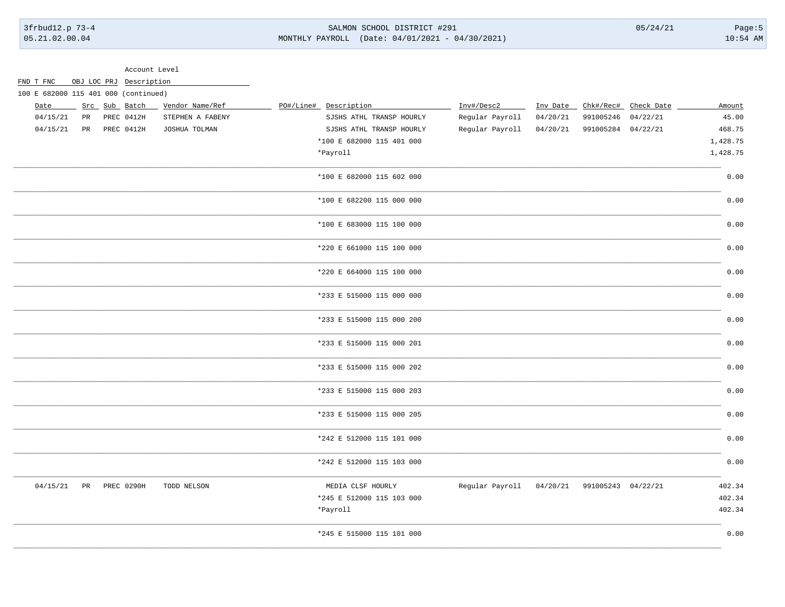FND T FNC OBJ LOC PRJ Description

#### SALMON SCHOOL DISTRICT #291 MONTHLY PAYROLL (Date: 04/01/2021 - 04/30/2021)

 $05/24/21$ 

 $Page:5$  $10:54$  AM

| 100 E 682000 115 401 000 (continued) |    |               |                  |                           |                 |          |                             |                      |          |
|--------------------------------------|----|---------------|------------------|---------------------------|-----------------|----------|-----------------------------|----------------------|----------|
| Date                                 |    | Src Sub Batch | Vendor Name/Ref  | PO#/Line# Description     | Inv#/Desc2      | Inv Date |                             | Chk#/Rec# Check Date | Amount   |
| 04/15/21                             | PR | PREC 0412H    | STEPHEN A FABENY | SJSHS ATHL TRANSP HOURLY  | Regular Payroll | 04/20/21 | 991005246                   | 04/22/21             | 45.00    |
| 04/15/21                             | PR | PREC 0412H    | JOSHUA TOLMAN    | SJSHS ATHL TRANSP HOURLY  | Regular Payroll | 04/20/21 | 991005284 04/22/21          |                      | 468.75   |
|                                      |    |               |                  | *100 E 682000 115 401 000 |                 |          |                             |                      | 1,428.75 |
|                                      |    |               |                  | *Payroll                  |                 |          |                             |                      | 1,428.75 |
|                                      |    |               |                  | *100 E 682000 115 602 000 |                 |          |                             |                      | 0.00     |
|                                      |    |               |                  | *100 E 682200 115 000 000 |                 |          |                             |                      | 0.00     |
|                                      |    |               |                  | *100 E 683000 115 100 000 |                 |          |                             |                      | 0.00     |
|                                      |    |               |                  | *220 E 661000 115 100 000 |                 |          |                             |                      | 0.00     |
|                                      |    |               |                  | *220 E 664000 115 100 000 |                 |          |                             |                      | 0.00     |
|                                      |    |               |                  | *233 E 515000 115 000 000 |                 |          |                             |                      | 0.00     |
|                                      |    |               |                  | *233 E 515000 115 000 200 |                 |          |                             |                      | 0.00     |
|                                      |    |               |                  | *233 E 515000 115 000 201 |                 |          |                             |                      | 0.00     |
|                                      |    |               |                  | *233 E 515000 115 000 202 |                 |          |                             |                      | 0.00     |
|                                      |    |               |                  | *233 E 515000 115 000 203 |                 |          |                             |                      | 0.00     |
|                                      |    |               |                  | *233 E 515000 115 000 205 |                 |          |                             |                      | 0.00     |
|                                      |    |               |                  | *242 E 512000 115 101 000 |                 |          |                             |                      | 0.00     |
|                                      |    |               |                  | *242 E 512000 115 103 000 |                 |          |                             |                      | 0.00     |
| 04/15/21                             | PR | PREC 0290H    | TODD NELSON      | MEDIA CLSF HOURLY         | Regular Payroll |          | 04/20/21 991005243 04/22/21 |                      | 402.34   |
|                                      |    |               |                  | *245 E 512000 115 103 000 |                 |          |                             |                      | 402.34   |
|                                      |    |               |                  | *Payroll                  |                 |          |                             |                      | 402.34   |
|                                      |    |               |                  | *245 E 515000 115 101 000 |                 |          |                             |                      | 0.00     |
|                                      |    |               |                  |                           |                 |          |                             |                      |          |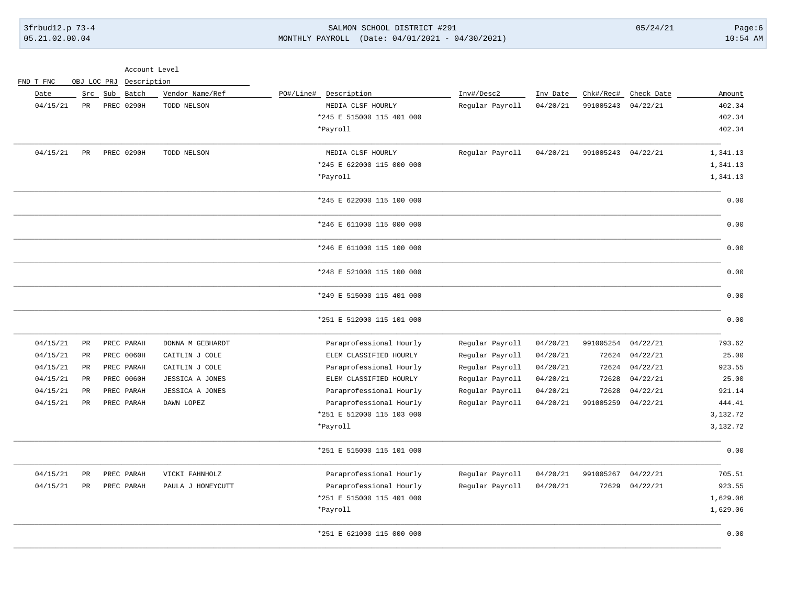### 3frbud12.p 73-4 SALMON SCHOOL DISTRICT #291 05/24/21 Page:6 05.21.02.00.04 MONTHLY PAYROLL (Date: 04/01/2021 - 04/30/2021) 10:54 AM

Account Level

|          |            |                    |          |                 |                           | OBJ LOC PRJ<br>Description |                   |         |             | FND T FNC |
|----------|------------|--------------------|----------|-----------------|---------------------------|----------------------------|-------------------|---------|-------------|-----------|
| Amount   | Check Date | Chk#/Rec#          | Inv Date | Inv#/Desc2      | PO#/Line#<br>Description  | Vendor Name/Ref            | Batch             | Src Sub |             | Date      |
| 402.34   | 04/22/21   | 991005243          | 04/20/21 | Regular Payroll | MEDIA CLSF HOURLY         | TODD NELSON                | PREC 0290H        |         | $_{\rm PR}$ | 04/15/21  |
| 402.34   |            |                    |          |                 | *245 E 515000 115 401 000 |                            |                   |         |             |           |
| 402.34   |            |                    |          |                 | *Payroll                  |                            |                   |         |             |           |
| 1,341.13 |            | 991005243 04/22/21 | 04/20/21 | Regular Payroll | MEDIA CLSF HOURLY         | TODD NELSON                | PREC 0290H        |         | PR          | 04/15/21  |
| 1,341.13 |            |                    |          |                 | *245 E 622000 115 000 000 |                            |                   |         |             |           |
| 1,341.13 |            |                    |          |                 | *Payroll                  |                            |                   |         |             |           |
| 0.00     |            |                    |          |                 | *245 E 622000 115 100 000 |                            |                   |         |             |           |
| 0.00     |            |                    |          |                 | *246 E 611000 115 000 000 |                            |                   |         |             |           |
| 0.00     |            |                    |          |                 | *246 E 611000 115 100 000 |                            |                   |         |             |           |
| 0.00     |            |                    |          |                 | *248 E 521000 115 100 000 |                            |                   |         |             |           |
| 0.00     |            |                    |          |                 | *249 E 515000 115 401 000 |                            |                   |         |             |           |
| 0.00     |            |                    |          |                 | *251 E 512000 115 101 000 |                            |                   |         |             |           |
| 793.62   | 04/22/21   | 991005254          | 04/20/21 | Regular Payroll | Paraprofessional Hourly   | DONNA M GEBHARDT           | PREC PARAH        |         | $_{\rm PR}$ | 04/15/21  |
| 25.00    | 04/22/21   | 72624              | 04/20/21 | Regular Payroll | ELEM CLASSIFIED HOURLY    | CAITLIN J COLE             | PREC 0060H        |         | $_{\rm PR}$ | 04/15/21  |
| 923.55   | 04/22/21   | 72624              | 04/20/21 | Regular Payroll | Paraprofessional Hourly   | CAITLIN J COLE             | PREC PARAH        |         | <b>PR</b>   | 04/15/21  |
| 25.00    | 04/22/21   | 72628              | 04/20/21 | Regular Payroll | ELEM CLASSIFIED HOURLY    | JESSICA A JONES            | <b>PREC 0060H</b> |         | $_{\rm PR}$ | 04/15/21  |
| 921.14   | 04/22/21   | 72628              | 04/20/21 | Regular Payroll | Paraprofessional Hourly   | <b>JESSICA A JONES</b>     | PREC PARAH        |         | <b>PR</b>   | 04/15/21  |
| 444.41   | 04/22/21   | 991005259          | 04/20/21 | Regular Payroll | Paraprofessional Hourly   | DAWN LOPEZ                 | PREC PARAH        |         | $_{\rm PR}$ | 04/15/21  |
| 3,132.72 |            |                    |          |                 | *251 E 512000 115 103 000 |                            |                   |         |             |           |
| 3,132.72 |            |                    |          |                 | *Payroll                  |                            |                   |         |             |           |
| 0.00     |            |                    |          |                 | *251 E 515000 115 101 000 |                            |                   |         |             |           |
| 705.51   | 04/22/21   | 991005267          | 04/20/21 | Regular Payroll | Paraprofessional Hourly   | VICKI FAHNHOLZ             | PREC PARAH        |         | $_{\rm PR}$ | 04/15/21  |
| 923.55   | 04/22/21   | 72629              | 04/20/21 | Regular Payroll | Paraprofessional Hourly   | PAULA J HONEYCUTT          | PREC PARAH        |         | PR          | 04/15/21  |
| 1,629.06 |            |                    |          |                 | *251 E 515000 115 401 000 |                            |                   |         |             |           |
| 1,629.06 |            |                    |          |                 | *Payroll                  |                            |                   |         |             |           |
| 0.00     |            |                    |          |                 | *251 E 621000 115 000 000 |                            |                   |         |             |           |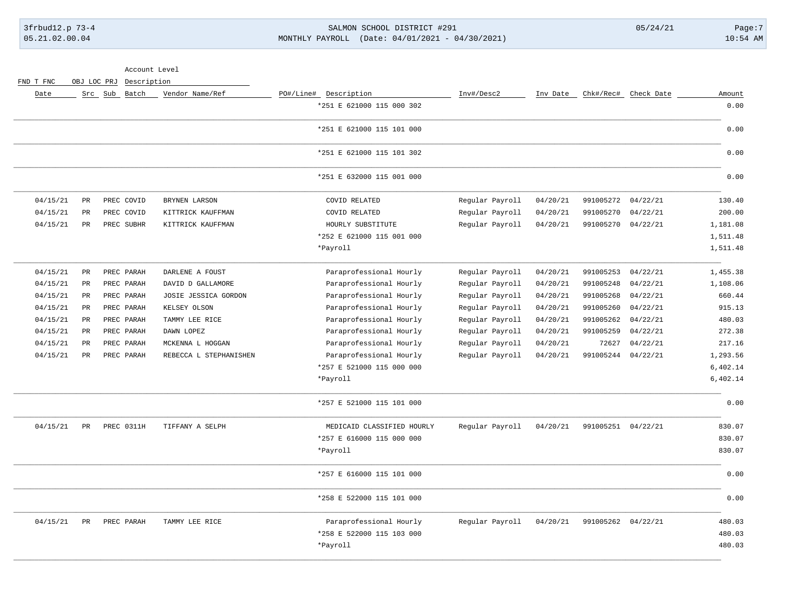### 3frbud12.p 73-4 SALMON SCHOOL DISTRICT #291 05/24/21 Page:7 05.21.02.00.04 MONTHLY PAYROLL (Date: 04/01/2021 - 04/30/2021) 10:54 AM

FND T FNC OBJ LOC PRJ Description

| Amount   | Check Date | Chk#/Rec#          | Inv Date | Inv#/Desc2      | PO#/Line# Description      | Vendor Name/Ref        | Src Sub Batch |             | Date     |
|----------|------------|--------------------|----------|-----------------|----------------------------|------------------------|---------------|-------------|----------|
| 0.00     |            |                    |          |                 | *251 E 621000 115 000 302  |                        |               |             |          |
| 0.00     |            |                    |          |                 | *251 E 621000 115 101 000  |                        |               |             |          |
| 0.00     |            |                    |          |                 | *251 E 621000 115 101 302  |                        |               |             |          |
| 0.00     |            |                    |          |                 | *251 E 632000 115 001 000  |                        |               |             |          |
| 130.40   | 04/22/21   | 991005272          | 04/20/21 | Regular Payroll | COVID RELATED              | BRYNEN LARSON          | PREC COVID    | PR          | 04/15/21 |
| 200.00   | 04/22/21   | 991005270          | 04/20/21 | Regular Payroll | COVID RELATED              | KITTRICK KAUFFMAN      | PREC COVID    | $_{\rm PR}$ | 04/15/21 |
| 1,181.08 | 04/22/21   | 991005270          | 04/20/21 | Regular Payroll | HOURLY SUBSTITUTE          | KITTRICK KAUFFMAN      | PREC SUBHR    | PR          | 04/15/21 |
| 1,511.48 |            |                    |          |                 | *252 E 621000 115 001 000  |                        |               |             |          |
| 1,511.48 |            |                    |          |                 | *Payroll                   |                        |               |             |          |
| 1,455.38 | 04/22/21   | 991005253          | 04/20/21 | Regular Payroll | Paraprofessional Hourly    | DARLENE A FOUST        | PREC PARAH    | <b>PR</b>   | 04/15/21 |
| 1,108.06 | 04/22/21   | 991005248          | 04/20/21 | Regular Payroll | Paraprofessional Hourly    | DAVID D GALLAMORE      | PREC PARAH    | PR          | 04/15/21 |
| 660.44   | 04/22/21   | 991005268          | 04/20/21 | Regular Payroll | Paraprofessional Hourly    | JOSIE JESSICA GORDON   | PREC PARAH    | <b>PR</b>   | 04/15/21 |
| 915.13   | 04/22/21   | 991005260          | 04/20/21 | Regular Payroll | Paraprofessional Hourly    | KELSEY OLSON           | PREC PARAH    | PR          | 04/15/21 |
| 480.03   | 04/22/21   | 991005262          | 04/20/21 | Regular Payroll | Paraprofessional Hourly    | TAMMY LEE RICE         | PREC PARAH    | PR          | 04/15/21 |
| 272.38   | 04/22/21   | 991005259          | 04/20/21 | Regular Payroll | Paraprofessional Hourly    | DAWN LOPEZ             | PREC PARAH    | PR          | 04/15/21 |
| 217.16   | 04/22/21   | 72627              | 04/20/21 | Regular Payroll | Paraprofessional Hourly    | MCKENNA L HOGGAN       | PREC PARAH    | PR          | 04/15/21 |
| 1,293.56 | 04/22/21   | 991005244          | 04/20/21 | Regular Payroll | Paraprofessional Hourly    | REBECCA L STEPHANISHEN | PREC PARAH    | PR          | 04/15/21 |
| 6,402.14 |            |                    |          |                 | *257 E 521000 115 000 000  |                        |               |             |          |
| 6,402.14 |            |                    |          |                 | *Payroll                   |                        |               |             |          |
| 0.00     |            |                    |          |                 | *257 E 521000 115 101 000  |                        |               |             |          |
| 830.07   |            | 991005251 04/22/21 | 04/20/21 | Regular Payroll | MEDICAID CLASSIFIED HOURLY | TIFFANY A SELPH        | PREC 0311H    | PR          | 04/15/21 |
| 830.07   |            |                    |          |                 | *257 E 616000 115 000 000  |                        |               |             |          |
| 830.07   |            |                    |          |                 | *Payroll                   |                        |               |             |          |
| 0.00     |            |                    |          |                 | *257 E 616000 115 101 000  |                        |               |             |          |
| 0.00     |            |                    |          |                 | *258 E 522000 115 101 000  |                        |               |             |          |
| 480.03   |            | 991005262 04/22/21 | 04/20/21 | Regular Payroll | Paraprofessional Hourly    | TAMMY LEE RICE         | PREC PARAH    | <b>PR</b>   | 04/15/21 |
| 480.03   |            |                    |          |                 | *258 E 522000 115 103 000  |                        |               |             |          |
| 480.03   |            |                    |          |                 | *Payroll                   |                        |               |             |          |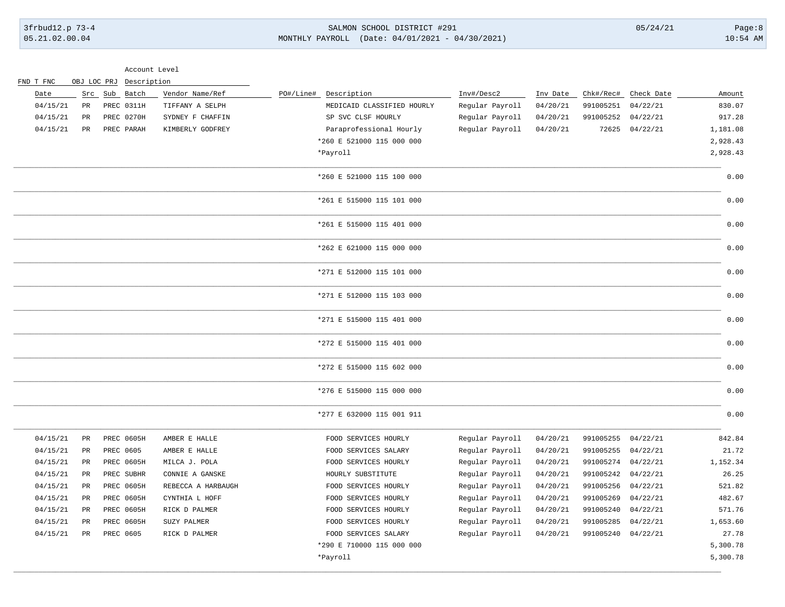| 3frbud12.p 73-4 |  |
|-----------------|--|
| 05.21.02.00.04  |  |

# 3frbud12.p 73-4 SALMON SCHOOL DISTRICT #291 05/24/21 Page:8 MONTHLY PAYROLL (Date: 04/01/2021 - 04/30/2021) 10:54 AM

#### Account Level

|          |            |           |          |                 |                            |           |                    | OBJ LOC PRJ Description |             | FND T FNC |
|----------|------------|-----------|----------|-----------------|----------------------------|-----------|--------------------|-------------------------|-------------|-----------|
| Amount   | Check Date | Chk#/Rec# | Inv Date | Inv#/Desc2      | Description                | PO#/Line# | Vendor Name/Ref    | Sub Batch               | Src         | Date      |
| 830.07   | 04/22/21   | 991005251 | 04/20/21 | Regular Payroll | MEDICAID CLASSIFIED HOURLY |           | TIFFANY A SELPH    | PREC 0311H              | PR          | 04/15/21  |
| 917.28   | 04/22/21   | 991005252 | 04/20/21 | Regular Payroll | SP SVC CLSF HOURLY         |           | SYDNEY F CHAFFIN   | PREC 0270H              | $_{\rm PR}$ | 04/15/21  |
| 1,181.08 | 04/22/21   | 72625     | 04/20/21 | Regular Payroll | Paraprofessional Hourly    |           | KIMBERLY GODFREY   | PREC PARAH              | PR          | 04/15/21  |
| 2,928.43 |            |           |          |                 | *260 E 521000 115 000 000  |           |                    |                         |             |           |
| 2,928.43 |            |           |          |                 | *Payroll                   |           |                    |                         |             |           |
| 0.00     |            |           |          |                 | *260 E 521000 115 100 000  |           |                    |                         |             |           |
| 0.00     |            |           |          |                 | *261 E 515000 115 101 000  |           |                    |                         |             |           |
| 0.00     |            |           |          |                 | *261 E 515000 115 401 000  |           |                    |                         |             |           |
| 0.00     |            |           |          |                 | *262 E 621000 115 000 000  |           |                    |                         |             |           |
| 0.00     |            |           |          |                 | *271 E 512000 115 101 000  |           |                    |                         |             |           |
| 0.00     |            |           |          |                 | *271 E 512000 115 103 000  |           |                    |                         |             |           |
| 0.00     |            |           |          |                 | *271 E 515000 115 401 000  |           |                    |                         |             |           |
| 0.00     |            |           |          |                 | *272 E 515000 115 401 000  |           |                    |                         |             |           |
| 0.00     |            |           |          |                 | *272 E 515000 115 602 000  |           |                    |                         |             |           |
| 0.00     |            |           |          |                 | *276 E 515000 115 000 000  |           |                    |                         |             |           |
| 0.00     |            |           |          |                 | *277 E 632000 115 001 911  |           |                    |                         |             |           |
| 842.84   | 04/22/21   | 991005255 | 04/20/21 | Regular Payroll | FOOD SERVICES HOURLY       |           | AMBER E HALLE      | PREC 0605H              | PR          | 04/15/21  |
| 21.72    | 04/22/21   | 991005255 | 04/20/21 | Regular Payroll | FOOD SERVICES SALARY       |           | AMBER E HALLE      | PREC 0605               | $_{\rm PR}$ | 04/15/21  |
| 1,152.34 | 04/22/21   | 991005274 | 04/20/21 | Regular Payroll | FOOD SERVICES HOURLY       |           | MILCA J. POLA      | PREC 0605H              | PR          | 04/15/21  |
| 26.25    | 04/22/21   | 991005242 | 04/20/21 | Regular Payroll | HOURLY SUBSTITUTE          |           | CONNIE A GANSKE    | PREC SUBHR              | PR          | 04/15/21  |
| 521.82   | 04/22/21   | 991005256 | 04/20/21 | Regular Payroll | FOOD SERVICES HOURLY       |           | REBECCA A HARBAUGH | PREC 0605H              | PR          | 04/15/21  |
| 482.67   | 04/22/21   | 991005269 | 04/20/21 | Regular Payroll | FOOD SERVICES HOURLY       |           | CYNTHIA L HOFF     | PREC 0605H              | PR          | 04/15/21  |
| 571.76   | 04/22/21   | 991005240 | 04/20/21 | Regular Payroll | FOOD SERVICES HOURLY       |           | RICK D PALMER      | PREC 0605H              | PR          | 04/15/21  |
| 1,653.60 | 04/22/21   | 991005285 | 04/20/21 | Regular Payroll | FOOD SERVICES HOURLY       |           | SUZY PALMER        | <b>PREC 0605H</b>       | PR          | 04/15/21  |
| 27.78    | 04/22/21   | 991005240 | 04/20/21 | Regular Payroll | FOOD SERVICES SALARY       |           | RICK D PALMER      | PREC 0605               | $_{\rm PR}$ | 04/15/21  |
| 5,300.78 |            |           |          |                 | *290 E 710000 115 000 000  |           |                    |                         |             |           |
| 5,300.78 |            |           |          |                 | *Payroll                   |           |                    |                         |             |           |